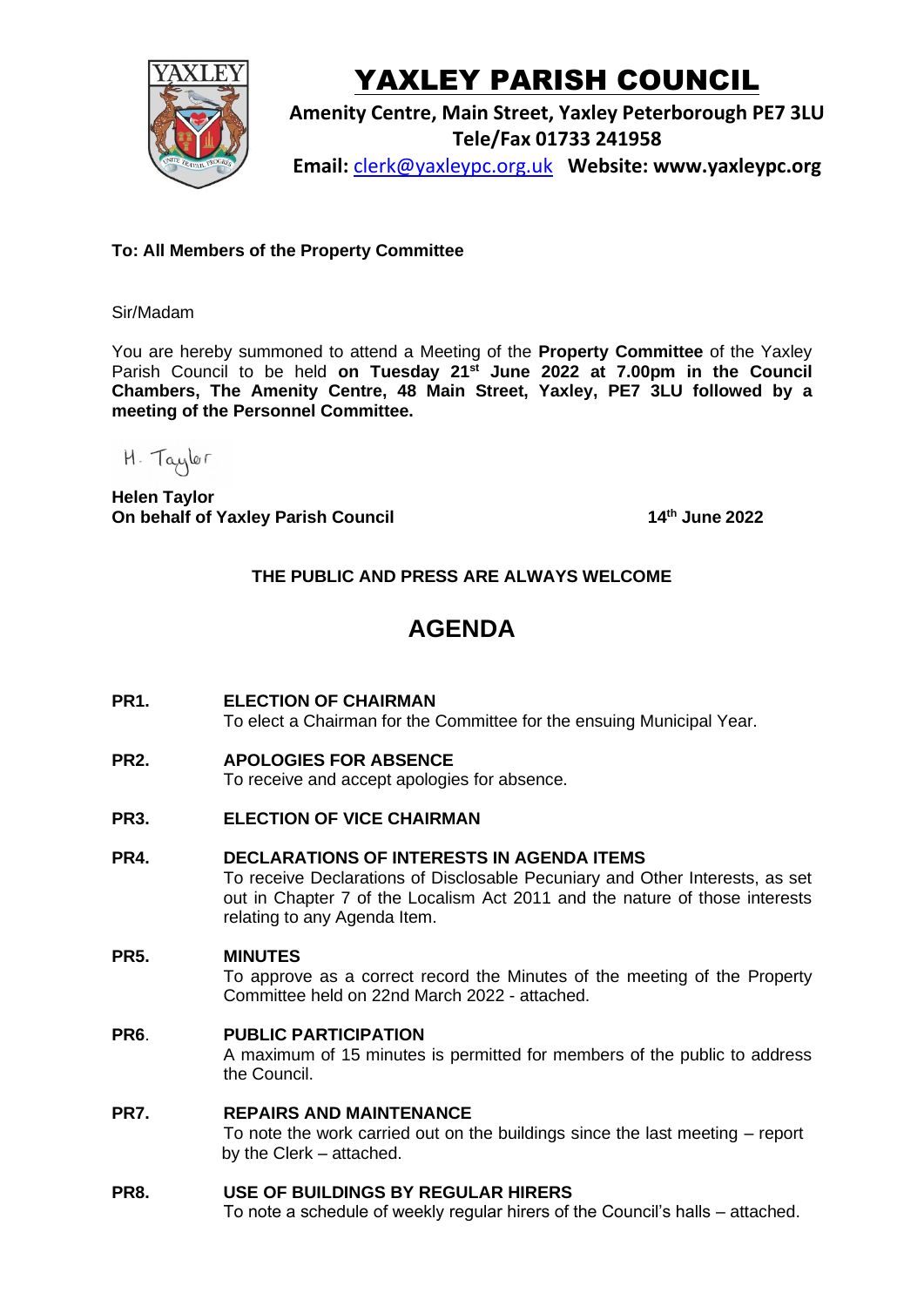

# YAXLEY PARISH COUNCIL

**Amenity Centre, Main Street, Yaxley Peterborough PE7 3LU Tele/Fax 01733 241958 Email:** [clerk@yaxleypc.org.uk](mailto:clerk@yaxleypc.org.uk) **Website: www.yaxleypc.org**

## **To: All Members of the Property Committee**

### Sir/Madam

You are hereby summoned to attend a Meeting of the **Property Committee** of the Yaxley Parish Council to be held **on Tuesday 21 st June 2022 at 7.00pm in the Council Chambers, The Amenity Centre, 48 Main Street, Yaxley, PE7 3LU followed by a meeting of the Personnel Committee.**

H. Taylor

**Helen Taylor On behalf of Yaxley Parish Council 14th June 2022**

## **THE PUBLIC AND PRESS ARE ALWAYS WELCOME**

## **AGENDA**

- **PR1. ELECTION OF CHAIRMAN**  To elect a Chairman for the Committee for the ensuing Municipal Year.
- **PR2. APOLOGIES FOR ABSENCE** To receive and accept apologies for absence.
- **PR3. ELECTION OF VICE CHAIRMAN**
- **PR4. DECLARATIONS OF INTERESTS IN AGENDA ITEMS**

To receive Declarations of Disclosable Pecuniary and Other Interests, as set out in Chapter 7 of the Localism Act 2011 and the nature of those interests relating to any Agenda Item.

## **PR5. MINUTES**

To approve as a correct record the Minutes of the meeting of the Property Committee held on 22nd March 2022 - attached.

#### **PR6**. **PUBLIC PARTICIPATION** A maximum of 15 minutes is permitted for members of the public to address the Council.

## **PR7. REPAIRS AND MAINTENANCE**  To note the work carried out on the buildings since the last meeting – report by the Clerk – attached.

## **PR8. USE OF BUILDINGS BY REGULAR HIRERS**

To note a schedule of weekly regular hirers of the Council's halls – attached.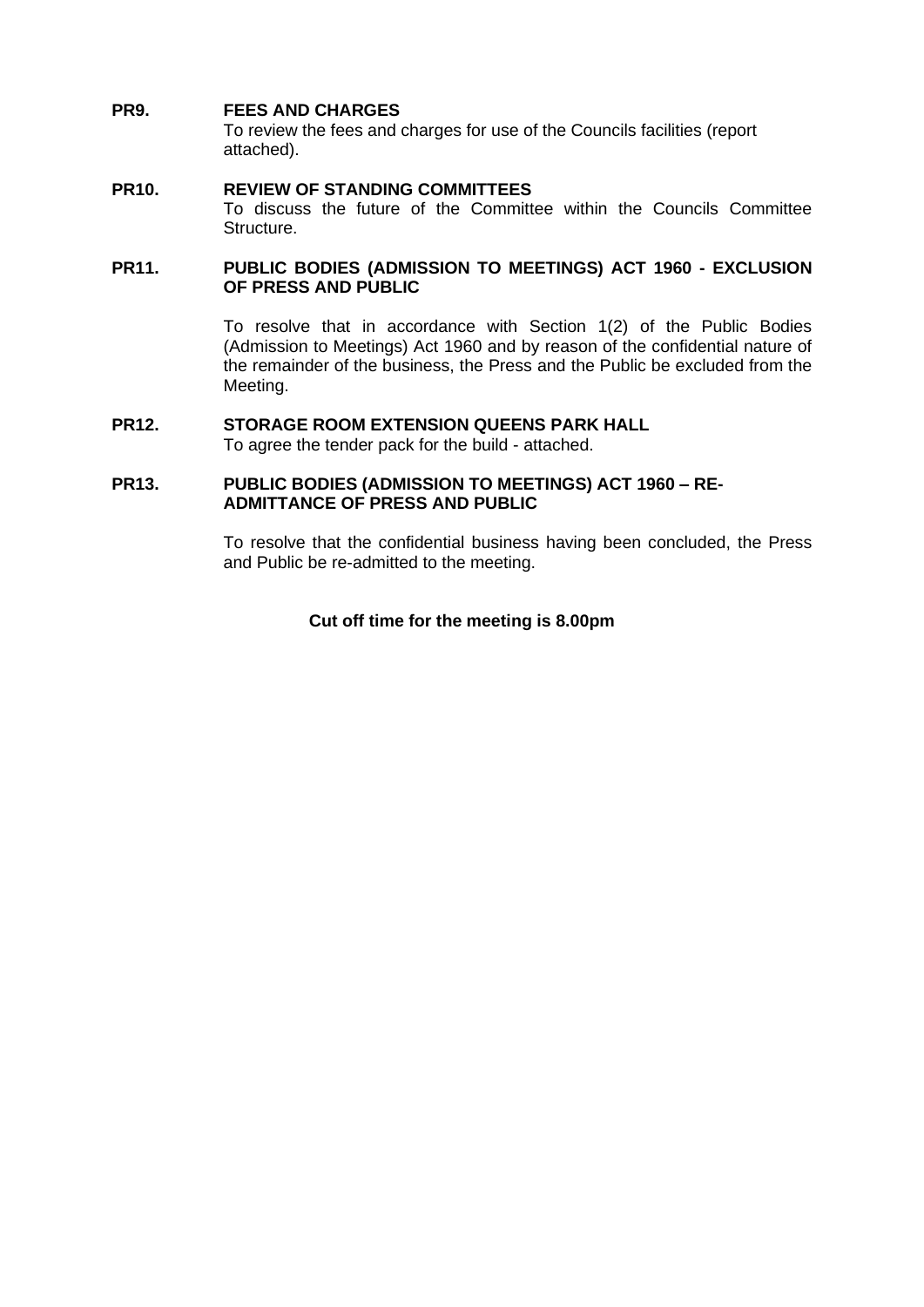### **PR9. FEES AND CHARGES**

To review the fees and charges for use of the Councils facilities (report attached).

#### **PR10. REVIEW OF STANDING COMMITTEES**

To discuss the future of the Committee within the Councils Committee Structure.

#### **PR11. PUBLIC BODIES (ADMISSION TO MEETINGS) ACT 1960 - EXCLUSION OF PRESS AND PUBLIC**

To resolve that in accordance with Section 1(2) of the Public Bodies (Admission to Meetings) Act 1960 and by reason of the confidential nature of the remainder of the business, the Press and the Public be excluded from the Meeting.

## **PR12. STORAGE ROOM EXTENSION QUEENS PARK HALL**

To agree the tender pack for the build - attached.

#### **PR13. PUBLIC BODIES (ADMISSION TO MEETINGS) ACT 1960 – RE-ADMITTANCE OF PRESS AND PUBLIC**

To resolve that the confidential business having been concluded, the Press and Public be re-admitted to the meeting.

#### **Cut off time for the meeting is 8.00pm**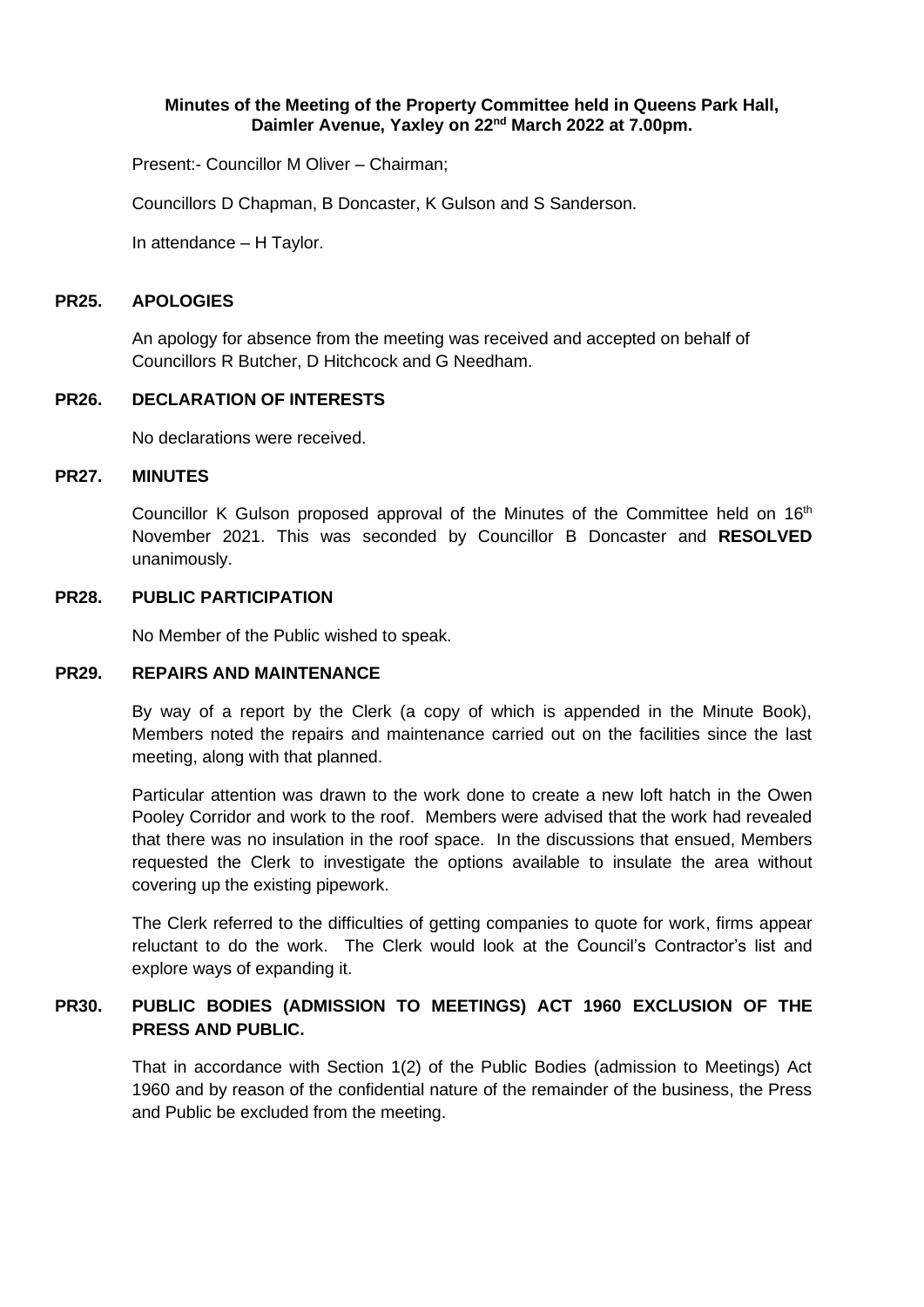#### **Minutes of the Meeting of the Property Committee held in Queens Park Hall, Daimler Avenue, Yaxley on 22nd March 2022 at 7.00pm.**

Present:- Councillor M Oliver – Chairman;

Councillors D Chapman, B Doncaster, K Gulson and S Sanderson.

In attendance – H Taylor.

#### **PR25. APOLOGIES**

An apology for absence from the meeting was received and accepted on behalf of Councillors R Butcher, D Hitchcock and G Needham.

#### **PR26. DECLARATION OF INTERESTS**

No declarations were received.

#### **PR27. MINUTES**

Councillor K Gulson proposed approval of the Minutes of the Committee held on  $16<sup>th</sup>$ November 2021. This was seconded by Councillor B Doncaster and **RESOLVED** unanimously.

#### **PR28. PUBLIC PARTICIPATION**

No Member of the Public wished to speak.

#### **PR29. REPAIRS AND MAINTENANCE**

By way of a report by the Clerk (a copy of which is appended in the Minute Book), Members noted the repairs and maintenance carried out on the facilities since the last meeting, along with that planned.

Particular attention was drawn to the work done to create a new loft hatch in the Owen Pooley Corridor and work to the roof. Members were advised that the work had revealed that there was no insulation in the roof space. In the discussions that ensued, Members requested the Clerk to investigate the options available to insulate the area without covering up the existing pipework.

The Clerk referred to the difficulties of getting companies to quote for work, firms appear reluctant to do the work. The Clerk would look at the Council's Contractor's list and explore ways of expanding it.

#### **PR30. PUBLIC BODIES (ADMISSION TO MEETINGS) ACT 1960 EXCLUSION OF THE PRESS AND PUBLIC.**

That in accordance with Section 1(2) of the Public Bodies (admission to Meetings) Act 1960 and by reason of the confidential nature of the remainder of the business, the Press and Public be excluded from the meeting.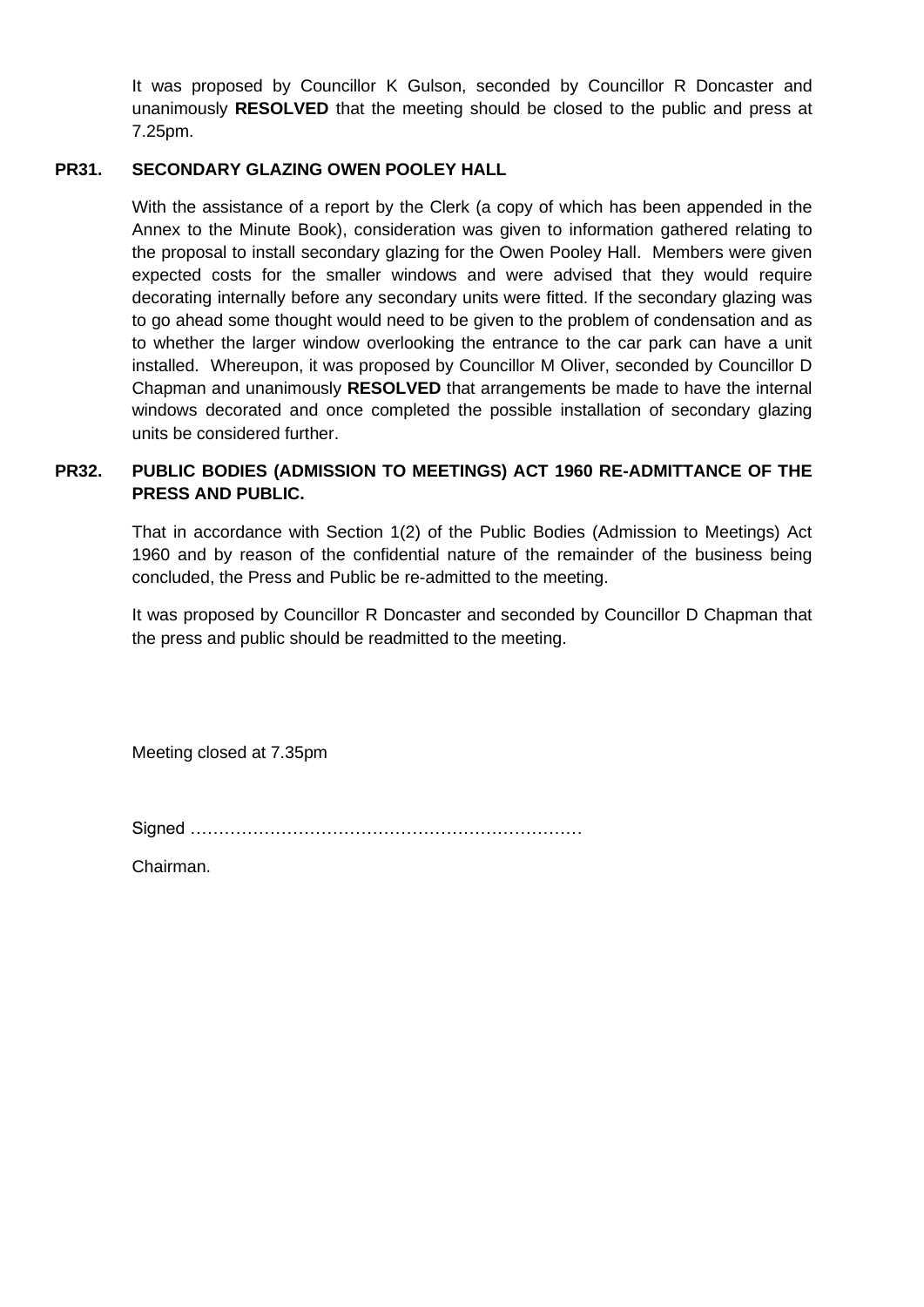It was proposed by Councillor K Gulson, seconded by Councillor R Doncaster and unanimously **RESOLVED** that the meeting should be closed to the public and press at 7.25pm.

## **PR31. SECONDARY GLAZING OWEN POOLEY HALL**

With the assistance of a report by the Clerk (a copy of which has been appended in the Annex to the Minute Book), consideration was given to information gathered relating to the proposal to install secondary glazing for the Owen Pooley Hall. Members were given expected costs for the smaller windows and were advised that they would require decorating internally before any secondary units were fitted. If the secondary glazing was to go ahead some thought would need to be given to the problem of condensation and as to whether the larger window overlooking the entrance to the car park can have a unit installed. Whereupon, it was proposed by Councillor M Oliver, seconded by Councillor D Chapman and unanimously **RESOLVED** that arrangements be made to have the internal windows decorated and once completed the possible installation of secondary glazing units be considered further.

## **PR32. PUBLIC BODIES (ADMISSION TO MEETINGS) ACT 1960 RE-ADMITTANCE OF THE PRESS AND PUBLIC.**

That in accordance with Section 1(2) of the Public Bodies (Admission to Meetings) Act 1960 and by reason of the confidential nature of the remainder of the business being concluded, the Press and Public be re-admitted to the meeting.

It was proposed by Councillor R Doncaster and seconded by Councillor D Chapman that the press and public should be readmitted to the meeting.

Meeting closed at 7.35pm

Signed ……………………………………………………………

Chairman.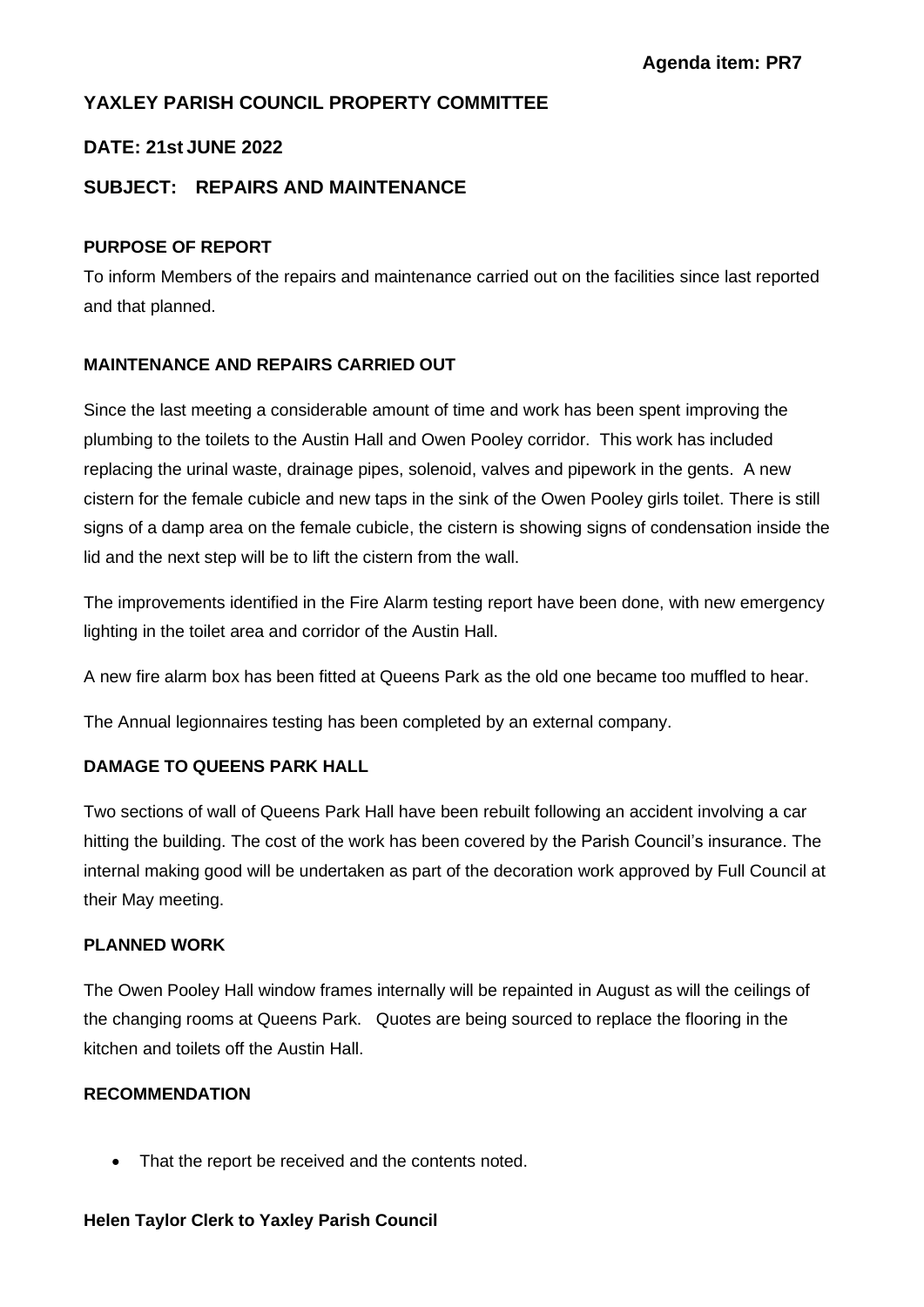## **YAXLEY PARISH COUNCIL PROPERTY COMMITTEE**

## **DATE: 21st JUNE 2022**

## **SUBJECT: REPAIRS AND MAINTENANCE**

#### **PURPOSE OF REPORT**

To inform Members of the repairs and maintenance carried out on the facilities since last reported and that planned.

## **MAINTENANCE AND REPAIRS CARRIED OUT**

Since the last meeting a considerable amount of time and work has been spent improving the plumbing to the toilets to the Austin Hall and Owen Pooley corridor. This work has included replacing the urinal waste, drainage pipes, solenoid, valves and pipework in the gents. A new cistern for the female cubicle and new taps in the sink of the Owen Pooley girls toilet. There is still signs of a damp area on the female cubicle, the cistern is showing signs of condensation inside the lid and the next step will be to lift the cistern from the wall.

The improvements identified in the Fire Alarm testing report have been done, with new emergency lighting in the toilet area and corridor of the Austin Hall.

A new fire alarm box has been fitted at Queens Park as the old one became too muffled to hear.

The Annual legionnaires testing has been completed by an external company.

#### **DAMAGE TO QUEENS PARK HALL**

Two sections of wall of Queens Park Hall have been rebuilt following an accident involving a car hitting the building. The cost of the work has been covered by the Parish Council's insurance. The internal making good will be undertaken as part of the decoration work approved by Full Council at their May meeting.

#### **PLANNED WORK**

The Owen Pooley Hall window frames internally will be repainted in August as will the ceilings of the changing rooms at Queens Park. Quotes are being sourced to replace the flooring in the kitchen and toilets off the Austin Hall.

#### **RECOMMENDATION**

• That the report be received and the contents noted.

## **Helen Taylor Clerk to Yaxley Parish Council**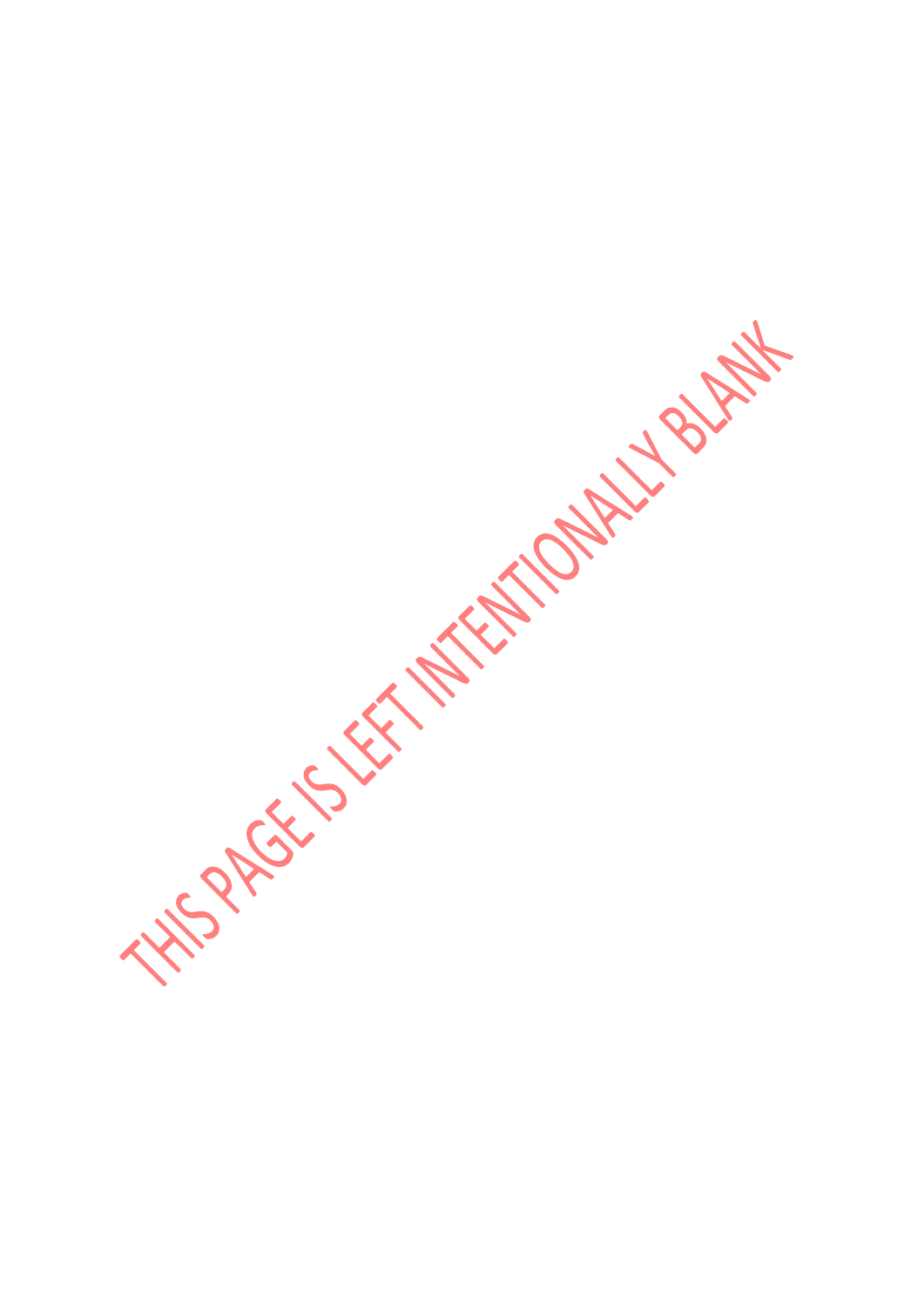Filip ARGISTER HATCHING ARMSH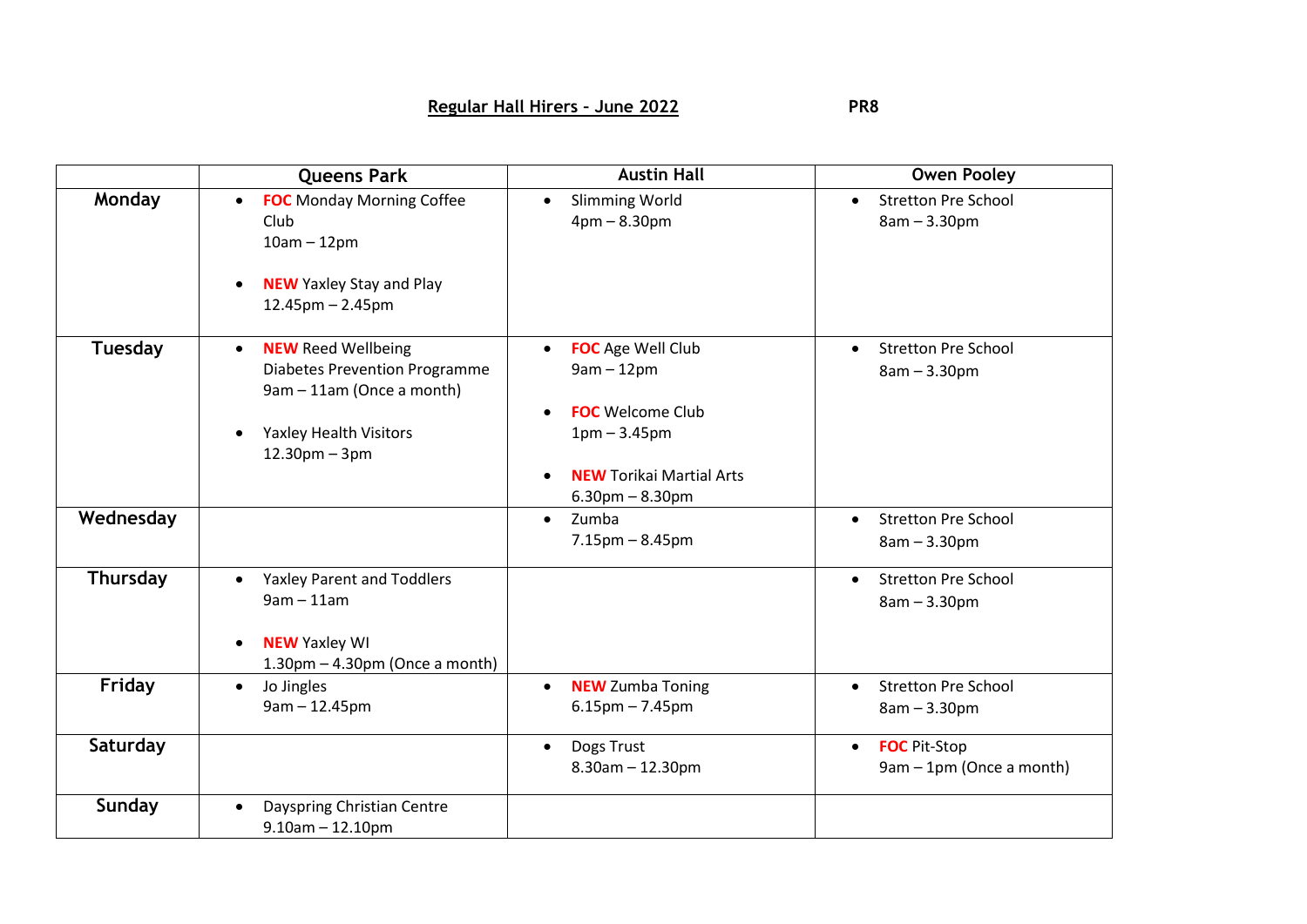## **Regular Hall Hirers – June 2022 PR8**

|           | <b>Queens Park</b>                                                                                                                                              | <b>Austin Hall</b>                                                                                                                                                          | <b>Owen Pooley</b>                                           |
|-----------|-----------------------------------------------------------------------------------------------------------------------------------------------------------------|-----------------------------------------------------------------------------------------------------------------------------------------------------------------------------|--------------------------------------------------------------|
| Monday    | <b>FOC</b> Monday Morning Coffee<br>$\bullet$<br>Club<br>$10am - 12pm$<br><b>NEW</b> Yaxley Stay and Play<br>$12.45$ pm $- 2.45$ pm                             | <b>Slimming World</b><br>$\bullet$<br>$4pm - 8.30pm$                                                                                                                        | <b>Stretton Pre School</b><br>$\bullet$<br>$8am - 3.30pm$    |
| Tuesday   | <b>NEW Reed Wellbeing</b><br>$\bullet$<br><b>Diabetes Prevention Programme</b><br>9am - 11am (Once a month)<br><b>Yaxley Health Visitors</b><br>$12.30pm - 3pm$ | <b>FOC</b> Age Well Club<br>$\bullet$<br>$9am - 12pm$<br><b>FOC</b> Welcome Club<br>$1pm - 3.45pm$<br><b>NEW Torikai Martial Arts</b><br>$\bullet$<br>$6.30$ pm $- 8.30$ pm | <b>Stretton Pre School</b><br>$\bullet$<br>$8am - 3.30pm$    |
| Wednesday |                                                                                                                                                                 | Zumba<br>$\bullet$<br>$7.15 \text{pm} - 8.45 \text{pm}$                                                                                                                     | <b>Stretton Pre School</b><br>$\bullet$<br>$8am - 3.30pm$    |
| Thursday  | <b>Yaxley Parent and Toddlers</b><br>$9am - 11am$<br><b>NEW Yaxley WI</b><br>$1.30 \text{pm} - 4.30 \text{pm}$ (Once a month)                                   |                                                                                                                                                                             | <b>Stretton Pre School</b><br>$\bullet$<br>$8am - 3.30pm$    |
| Friday    | Jo Jingles<br>$\bullet$<br>$9am - 12.45pm$                                                                                                                      | <b>NEW</b> Zumba Toning<br>$\bullet$<br>$6.15$ pm $- 7.45$ pm                                                                                                               | <b>Stretton Pre School</b><br>$\bullet$<br>$8am - 3.30pm$    |
| Saturday  |                                                                                                                                                                 | Dogs Trust<br>$\bullet$<br>$8.30$ am $- 12.30$ pm                                                                                                                           | <b>FOC</b> Pit-Stop<br>$\bullet$<br>9am - 1pm (Once a month) |
| Sunday    | Dayspring Christian Centre<br>$\bullet$<br>$9.10$ am $- 12.10$ pm                                                                                               |                                                                                                                                                                             |                                                              |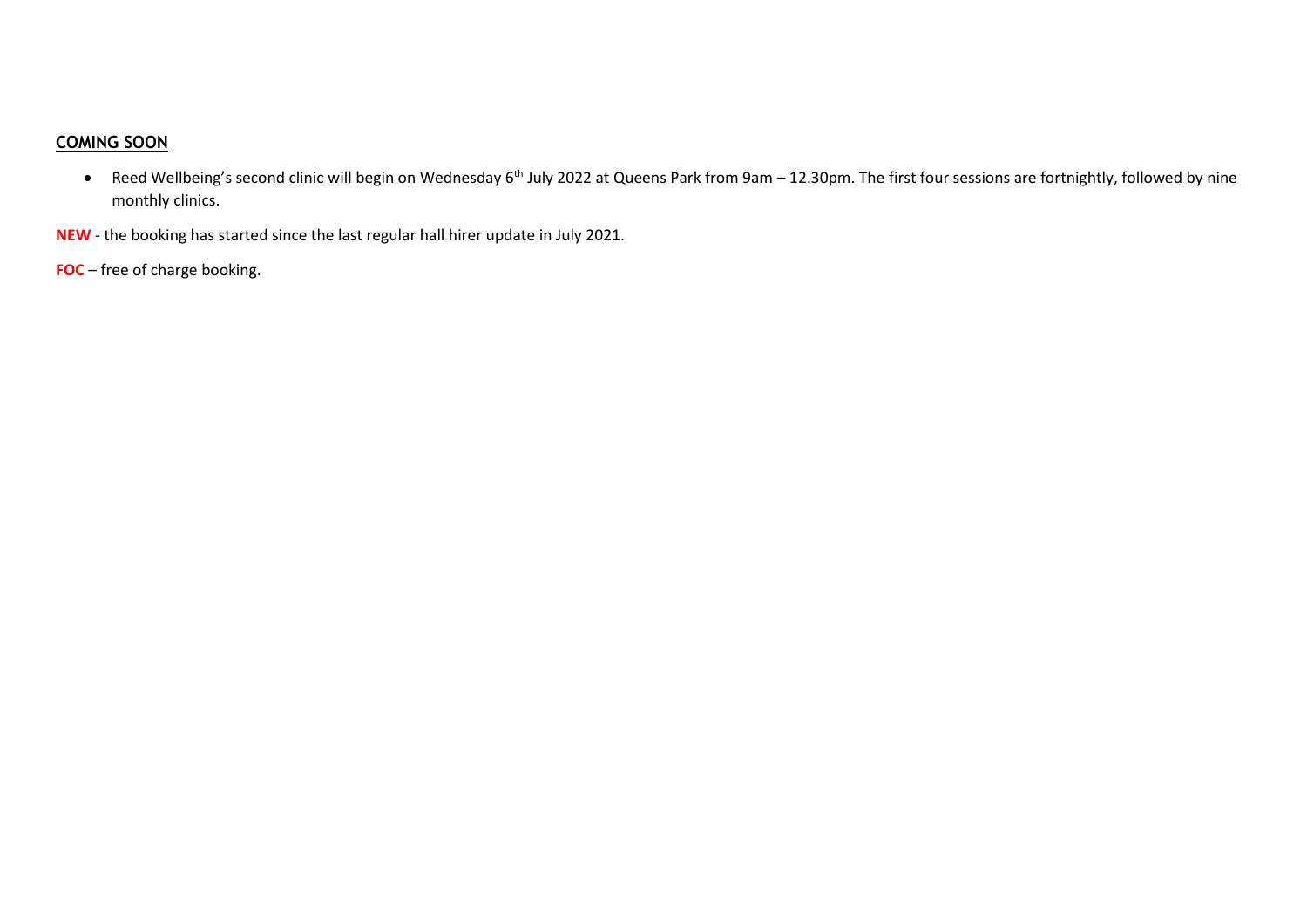## **COMING SOON**

• Reed Wellbeing's second clinic will begin on Wednesday 6<sup>th</sup> July 2022 at Queens Park from 9am - 12.30pm. The first four sessions are fortnightly, followed by nine monthly clinics.

**NEW** - the booking has started since the last regular hall hirer update in July 2021.

**FOC** – free of charge booking.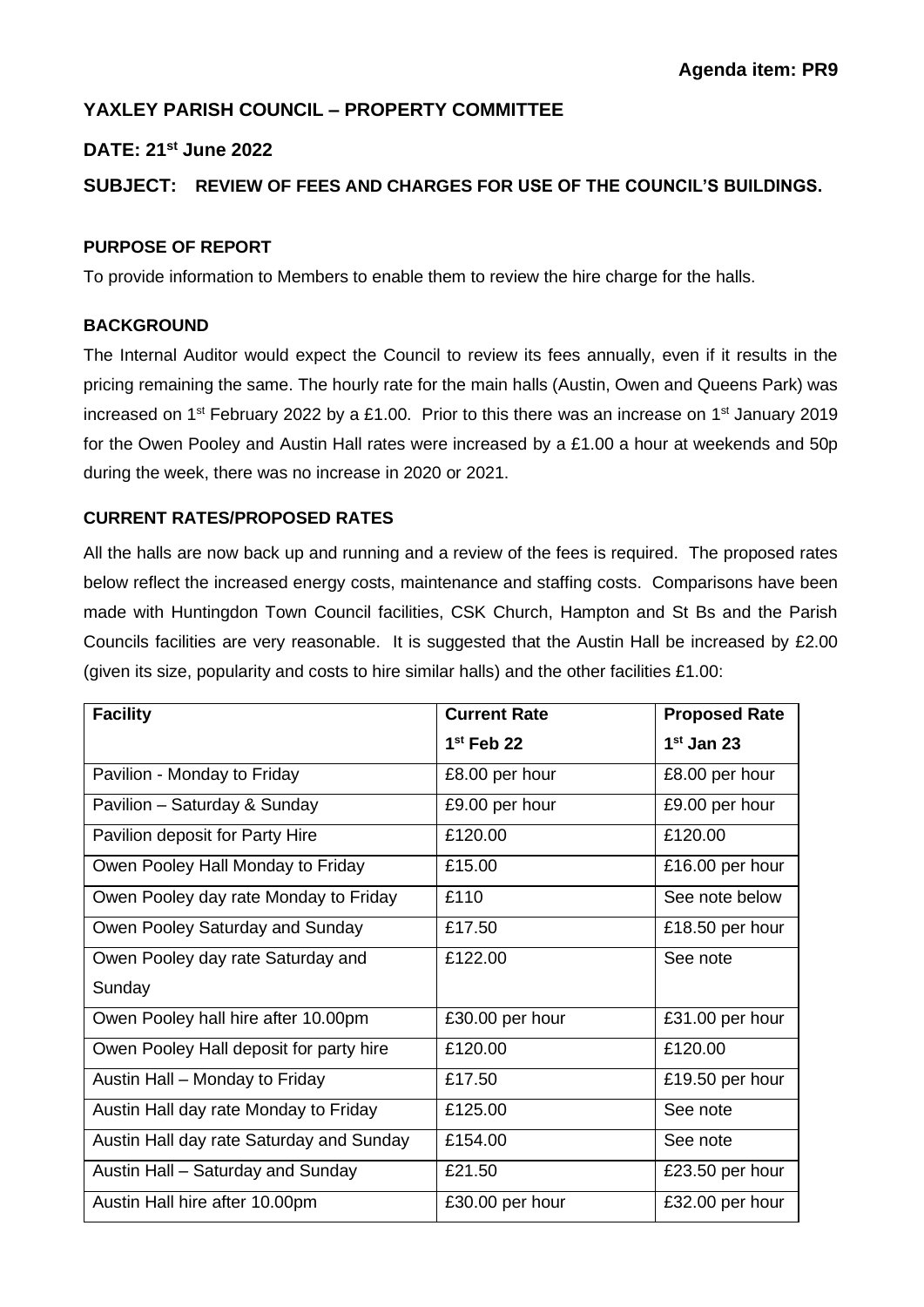## **YAXLEY PARISH COUNCIL – PROPERTY COMMITTEE**

## **DATE: 21 st June 2022**

## **SUBJECT: REVIEW OF FEES AND CHARGES FOR USE OF THE COUNCIL'S BUILDINGS.**

### **PURPOSE OF REPORT**

To provide information to Members to enable them to review the hire charge for the halls.

## **BACKGROUND**

The Internal Auditor would expect the Council to review its fees annually, even if it results in the pricing remaining the same. The hourly rate for the main halls (Austin, Owen and Queens Park) was increased on 1<sup>st</sup> February 2022 by a £1.00. Prior to this there was an increase on 1<sup>st</sup> January 2019 for the Owen Pooley and Austin Hall rates were increased by a £1.00 a hour at weekends and 50p during the week, there was no increase in 2020 or 2021.

## **CURRENT RATES/PROPOSED RATES**

All the halls are now back up and running and a review of the fees is required. The proposed rates below reflect the increased energy costs, maintenance and staffing costs. Comparisons have been made with Huntingdon Town Council facilities, CSK Church, Hampton and St Bs and the Parish Councils facilities are very reasonable. It is suggested that the Austin Hall be increased by £2.00 (given its size, popularity and costs to hire similar halls) and the other facilities £1.00:

| <b>Facility</b>                          | <b>Current Rate</b> | <b>Proposed Rate</b> |
|------------------------------------------|---------------------|----------------------|
|                                          | $1st$ Feb 22        | $1st$ Jan 23         |
| Pavilion - Monday to Friday              | £8.00 per hour      | £8.00 per hour       |
| Pavilion - Saturday & Sunday             | £9.00 per hour      | £9.00 per hour       |
| Pavilion deposit for Party Hire          | £120.00             | £120.00              |
| Owen Pooley Hall Monday to Friday        | £15.00              | £16.00 per hour      |
| Owen Pooley day rate Monday to Friday    | £110                | See note below       |
| Owen Pooley Saturday and Sunday          | £17.50              | £18.50 per hour      |
| Owen Pooley day rate Saturday and        | £122.00             | See note             |
| Sunday                                   |                     |                      |
| Owen Pooley hall hire after 10.00pm      | £30.00 per hour     | £31.00 per hour      |
| Owen Pooley Hall deposit for party hire  | £120.00             | £120.00              |
| Austin Hall - Monday to Friday           | £17.50              | £19.50 per hour      |
| Austin Hall day rate Monday to Friday    | £125.00             | See note             |
| Austin Hall day rate Saturday and Sunday | £154.00             | See note             |
| Austin Hall - Saturday and Sunday        | £21.50              | £23.50 per hour      |
| Austin Hall hire after 10.00pm           | £30.00 per hour     | £32.00 per hour      |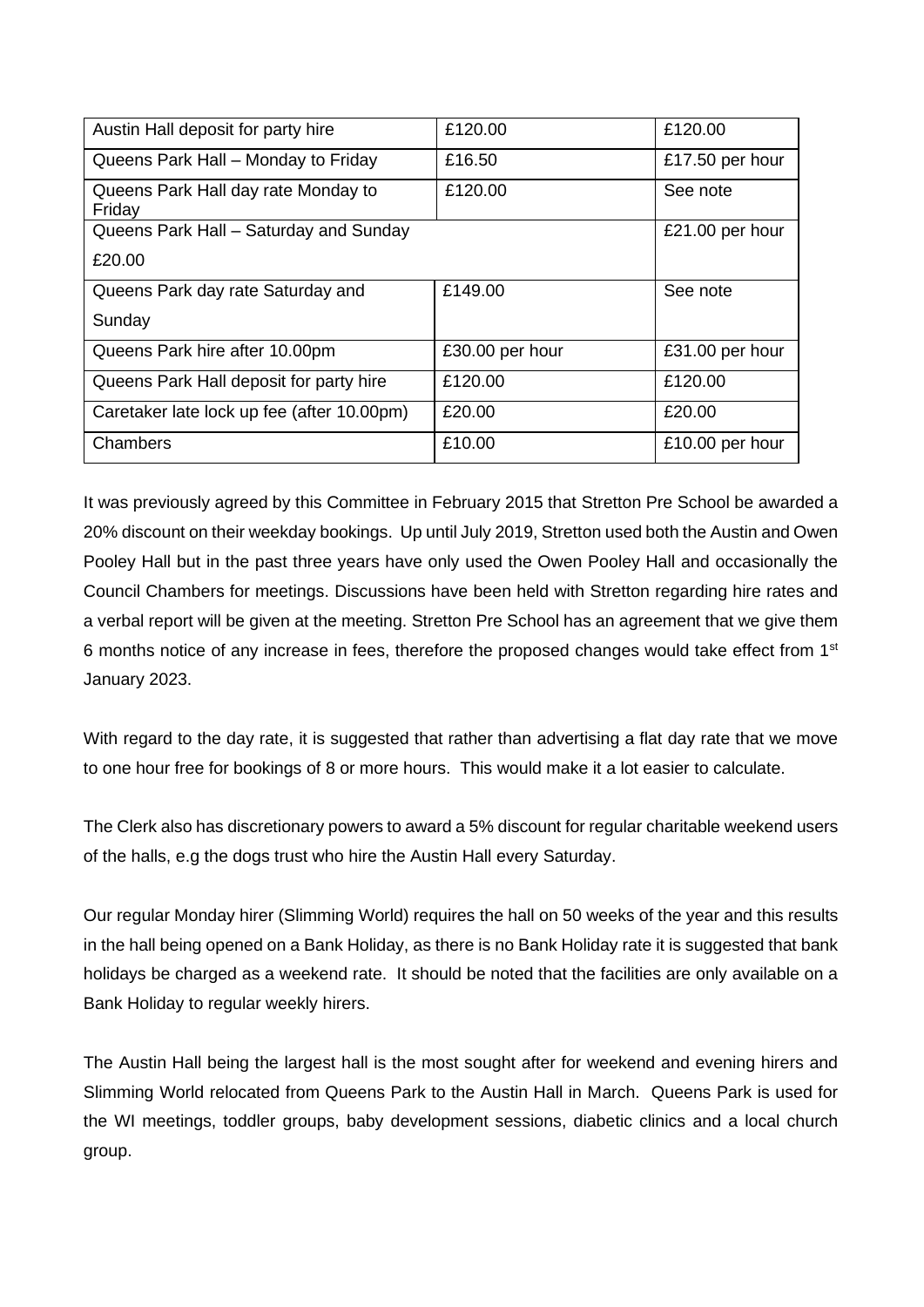| Austin Hall deposit for party hire            | £120.00         | £120.00         |
|-----------------------------------------------|-----------------|-----------------|
| Queens Park Hall - Monday to Friday           | £16.50          | £17.50 per hour |
| Queens Park Hall day rate Monday to<br>Friday | £120.00         | See note        |
| Queens Park Hall - Saturday and Sunday        | £21.00 per hour |                 |
| £20.00                                        |                 |                 |
| Queens Park day rate Saturday and             | £149.00         | See note        |
| Sunday                                        |                 |                 |
| Queens Park hire after 10.00pm                | £30.00 per hour | £31.00 per hour |
| Queens Park Hall deposit for party hire       | £120.00         | £120.00         |
| Caretaker late lock up fee (after 10.00pm)    | £20.00          | £20.00          |
| Chambers                                      | £10.00          | £10.00 per hour |

It was previously agreed by this Committee in February 2015 that Stretton Pre School be awarded a 20% discount on their weekday bookings. Up until July 2019, Stretton used both the Austin and Owen Pooley Hall but in the past three years have only used the Owen Pooley Hall and occasionally the Council Chambers for meetings. Discussions have been held with Stretton regarding hire rates and a verbal report will be given at the meeting. Stretton Pre School has an agreement that we give them 6 months notice of any increase in fees, therefore the proposed changes would take effect from 1st January 2023.

With regard to the day rate, it is suggested that rather than advertising a flat day rate that we move to one hour free for bookings of 8 or more hours. This would make it a lot easier to calculate.

The Clerk also has discretionary powers to award a 5% discount for regular charitable weekend users of the halls, e.g the dogs trust who hire the Austin Hall every Saturday.

Our regular Monday hirer (Slimming World) requires the hall on 50 weeks of the year and this results in the hall being opened on a Bank Holiday, as there is no Bank Holiday rate it is suggested that bank holidays be charged as a weekend rate. It should be noted that the facilities are only available on a Bank Holiday to regular weekly hirers.

The Austin Hall being the largest hall is the most sought after for weekend and evening hirers and Slimming World relocated from Queens Park to the Austin Hall in March. Queens Park is used for the WI meetings, toddler groups, baby development sessions, diabetic clinics and a local church group.